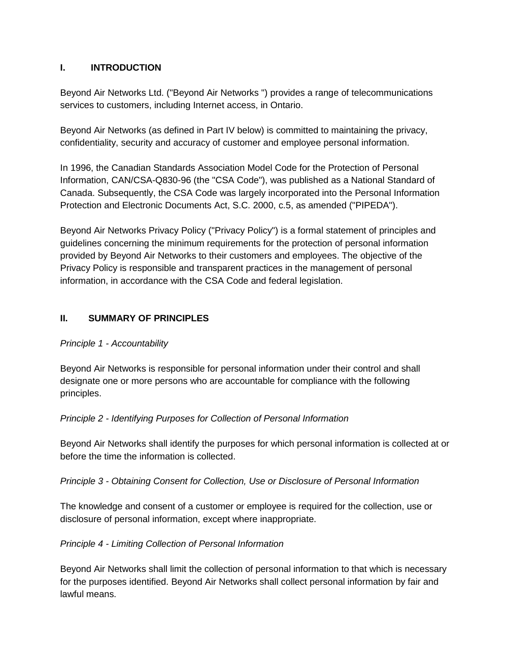## **I. INTRODUCTION**

Beyond Air Networks Ltd. ("Beyond Air Networks ") provides a range of telecommunications services to customers, including Internet access, in Ontario.

Beyond Air Networks (as defined in Part IV below) is committed to maintaining the privacy, confidentiality, security and accuracy of customer and employee personal information.

In 1996, the Canadian Standards Association Model Code for the Protection of Personal Information, CAN/CSA-Q830-96 (the "CSA Code"), was published as a National Standard of Canada. Subsequently, the CSA Code was largely incorporated into the Personal Information Protection and Electronic Documents Act, S.C. 2000, c.5, as amended ("PIPEDA").

Beyond Air Networks Privacy Policy ("Privacy Policy") is a formal statement of principles and guidelines concerning the minimum requirements for the protection of personal information provided by Beyond Air Networks to their customers and employees. The objective of the Privacy Policy is responsible and transparent practices in the management of personal information, in accordance with the CSA Code and federal legislation.

## **II. SUMMARY OF PRINCIPLES**

## *Principle 1 - Accountability*

Beyond Air Networks is responsible for personal information under their control and shall designate one or more persons who are accountable for compliance with the following principles.

## *Principle 2 - Identifying Purposes for Collection of Personal Information*

Beyond Air Networks shall identify the purposes for which personal information is collected at or before the time the information is collected.

*Principle 3 - Obtaining Consent for Collection, Use or Disclosure of Personal Information*

The knowledge and consent of a customer or employee is required for the collection, use or disclosure of personal information, except where inappropriate.

## *Principle 4 - Limiting Collection of Personal Information*

Beyond Air Networks shall limit the collection of personal information to that which is necessary for the purposes identified. Beyond Air Networks shall collect personal information by fair and lawful means.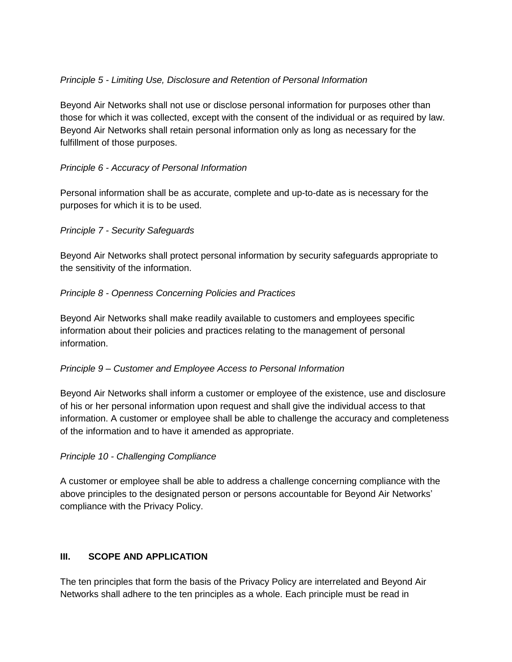## *Principle 5 - Limiting Use, Disclosure and Retention of Personal Information*

Beyond Air Networks shall not use or disclose personal information for purposes other than those for which it was collected, except with the consent of the individual or as required by law. Beyond Air Networks shall retain personal information only as long as necessary for the fulfillment of those purposes.

## *Principle 6 - Accuracy of Personal Information*

Personal information shall be as accurate, complete and up-to-date as is necessary for the purposes for which it is to be used.

## *Principle 7 - Security Safeguards*

Beyond Air Networks shall protect personal information by security safeguards appropriate to the sensitivity of the information.

## *Principle 8 - Openness Concerning Policies and Practices*

Beyond Air Networks shall make readily available to customers and employees specific information about their policies and practices relating to the management of personal information.

## *Principle 9 – Customer and Employee Access to Personal Information*

Beyond Air Networks shall inform a customer or employee of the existence, use and disclosure of his or her personal information upon request and shall give the individual access to that information. A customer or employee shall be able to challenge the accuracy and completeness of the information and to have it amended as appropriate.

## *Principle 10 - Challenging Compliance*

A customer or employee shall be able to address a challenge concerning compliance with the above principles to the designated person or persons accountable for Beyond Air Networks' compliance with the Privacy Policy.

# **III. SCOPE AND APPLICATION**

The ten principles that form the basis of the Privacy Policy are interrelated and Beyond Air Networks shall adhere to the ten principles as a whole. Each principle must be read in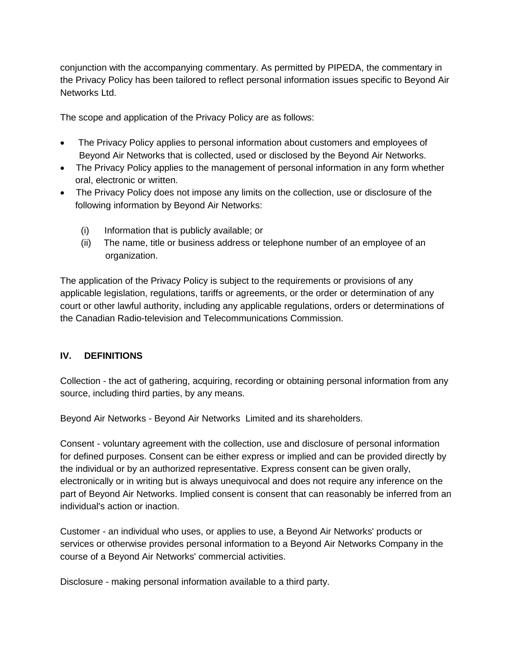conjunction with the accompanying commentary. As permitted by PIPEDA, the commentary in the Privacy Policy has been tailored to reflect personal information issues specific to Beyond Air Networks Ltd.

The scope and application of the Privacy Policy are as follows:

- The Privacy Policy applies to personal information about customers and employees of Beyond Air Networks that is collected, used or disclosed by the Beyond Air Networks.
- The Privacy Policy applies to the management of personal information in any form whether oral, electronic or written.
- The Privacy Policy does not impose any limits on the collection, use or disclosure of the following information by Beyond Air Networks:
	- (i) Information that is publicly available; or
	- (ii) The name, title or business address or telephone number of an employee of an organization.

The application of the Privacy Policy is subject to the requirements or provisions of any applicable legislation, regulations, tariffs or agreements, or the order or determination of any court or other lawful authority, including any applicable regulations, orders or determinations of the Canadian Radio-television and Telecommunications Commission.

## **IV. DEFINITIONS**

Collection - the act of gathering, acquiring, recording or obtaining personal information from any source, including third parties, by any means.

Beyond Air Networks - Beyond Air Networks Limited and its shareholders.

Consent - voluntary agreement with the collection, use and disclosure of personal information for defined purposes. Consent can be either express or implied and can be provided directly by the individual or by an authorized representative. Express consent can be given orally, electronically or in writing but is always unequivocal and does not require any inference on the part of Beyond Air Networks. Implied consent is consent that can reasonably be inferred from an individual's action or inaction.

Customer - an individual who uses, or applies to use, a Beyond Air Networks' products or services or otherwise provides personal information to a Beyond Air Networks Company in the course of a Beyond Air Networks' commercial activities.

Disclosure - making personal information available to a third party.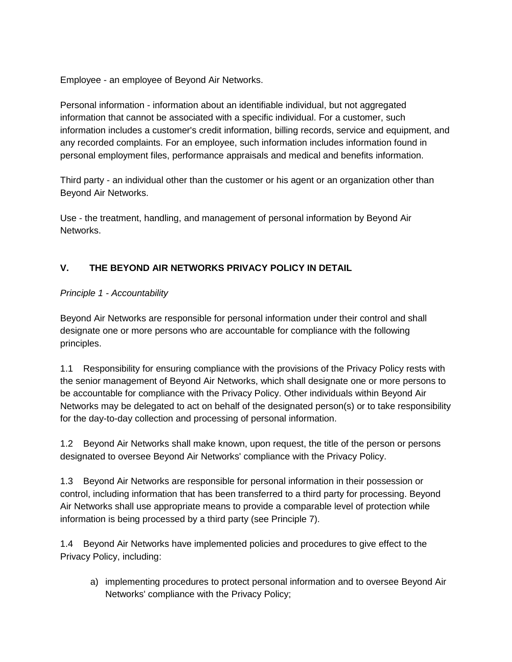Employee - an employee of Beyond Air Networks.

Personal information - information about an identifiable individual, but not aggregated information that cannot be associated with a specific individual. For a customer, such information includes a customer's credit information, billing records, service and equipment, and any recorded complaints. For an employee, such information includes information found in personal employment files, performance appraisals and medical and benefits information.

Third party - an individual other than the customer or his agent or an organization other than Beyond Air Networks.

Use - the treatment, handling, and management of personal information by Beyond Air Networks.

# **V. THE BEYOND AIR NETWORKS PRIVACY POLICY IN DETAIL**

## *Principle 1 - Accountability*

Beyond Air Networks are responsible for personal information under their control and shall designate one or more persons who are accountable for compliance with the following principles.

1.1 Responsibility for ensuring compliance with the provisions of the Privacy Policy rests with the senior management of Beyond Air Networks, which shall designate one or more persons to be accountable for compliance with the Privacy Policy. Other individuals within Beyond Air Networks may be delegated to act on behalf of the designated person(s) or to take responsibility for the day-to-day collection and processing of personal information.

1.2 Beyond Air Networks shall make known, upon request, the title of the person or persons designated to oversee Beyond Air Networks' compliance with the Privacy Policy.

1.3 Beyond Air Networks are responsible for personal information in their possession or control, including information that has been transferred to a third party for processing. Beyond Air Networks shall use appropriate means to provide a comparable level of protection while information is being processed by a third party (see Principle 7).

1.4 Beyond Air Networks have implemented policies and procedures to give effect to the Privacy Policy, including:

a) implementing procedures to protect personal information and to oversee Beyond Air Networks' compliance with the Privacy Policy;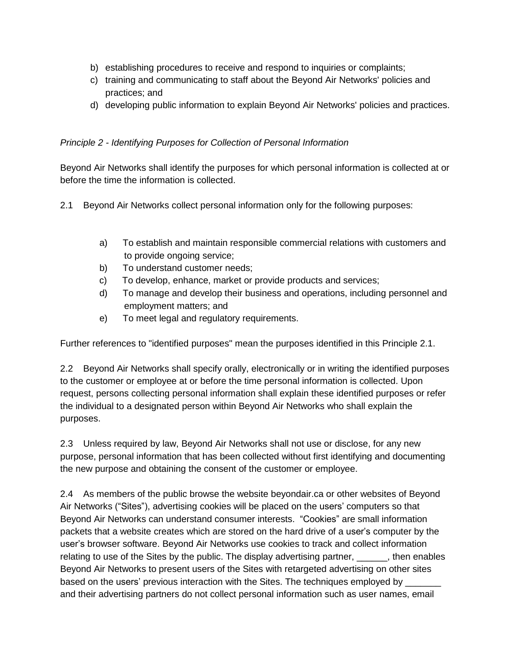- b) establishing procedures to receive and respond to inquiries or complaints;
- c) training and communicating to staff about the Beyond Air Networks' policies and practices; and
- d) developing public information to explain Beyond Air Networks' policies and practices.

## *Principle 2 - Identifying Purposes for Collection of Personal Information*

Beyond Air Networks shall identify the purposes for which personal information is collected at or before the time the information is collected.

- 2.1 Beyond Air Networks collect personal information only for the following purposes:
	- a) To establish and maintain responsible commercial relations with customers and to provide ongoing service;
	- b) To understand customer needs;
	- c) To develop, enhance, market or provide products and services;
	- d) To manage and develop their business and operations, including personnel and employment matters; and
	- e) To meet legal and regulatory requirements.

Further references to "identified purposes" mean the purposes identified in this Principle 2.1.

2.2 Beyond Air Networks shall specify orally, electronically or in writing the identified purposes to the customer or employee at or before the time personal information is collected. Upon request, persons collecting personal information shall explain these identified purposes or refer the individual to a designated person within Beyond Air Networks who shall explain the purposes.

2.3 Unless required by law, Beyond Air Networks shall not use or disclose, for any new purpose, personal information that has been collected without first identifying and documenting the new purpose and obtaining the consent of the customer or employee.

2.4 As members of the public browse the website beyondair.ca or other websites of Beyond Air Networks ("Sites"), advertising cookies will be placed on the users' computers so that Beyond Air Networks can understand consumer interests. "Cookies" are small information packets that a website creates which are stored on the hard drive of a user's computer by the user's browser software. Beyond Air Networks use cookies to track and collect information relating to use of the Sites by the public. The display advertising partner, hen enables Beyond Air Networks to present users of the Sites with retargeted advertising on other sites based on the users' previous interaction with the Sites. The techniques employed by and their advertising partners do not collect personal information such as user names, email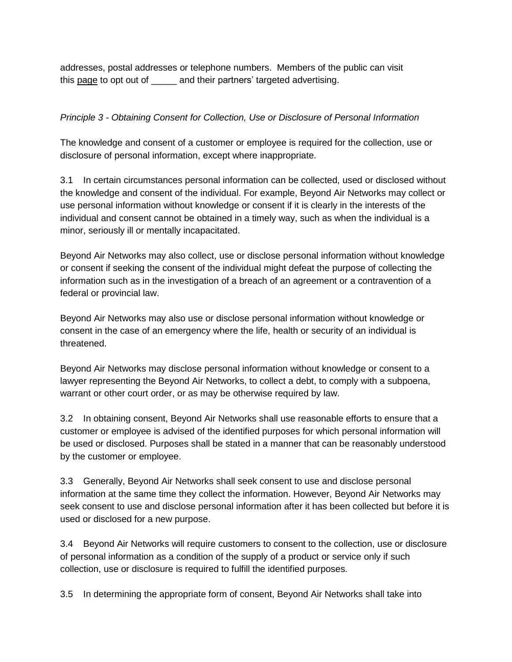addresses, postal addresses or telephone numbers. Members of the public can visit this [page](http://www.networkadvertising.org/choices/) to opt out of \_\_\_\_\_ and their partners' targeted advertising.

### *Principle 3 - Obtaining Consent for Collection, Use or Disclosure of Personal Information*

The knowledge and consent of a customer or employee is required for the collection, use or disclosure of personal information, except where inappropriate.

3.1 In certain circumstances personal information can be collected, used or disclosed without the knowledge and consent of the individual. For example, Beyond Air Networks may collect or use personal information without knowledge or consent if it is clearly in the interests of the individual and consent cannot be obtained in a timely way, such as when the individual is a minor, seriously ill or mentally incapacitated.

Beyond Air Networks may also collect, use or disclose personal information without knowledge or consent if seeking the consent of the individual might defeat the purpose of collecting the information such as in the investigation of a breach of an agreement or a contravention of a federal or provincial law.

Beyond Air Networks may also use or disclose personal information without knowledge or consent in the case of an emergency where the life, health or security of an individual is threatened.

Beyond Air Networks may disclose personal information without knowledge or consent to a lawyer representing the Beyond Air Networks, to collect a debt, to comply with a subpoena, warrant or other court order, or as may be otherwise required by law.

3.2 In obtaining consent, Beyond Air Networks shall use reasonable efforts to ensure that a customer or employee is advised of the identified purposes for which personal information will be used or disclosed. Purposes shall be stated in a manner that can be reasonably understood by the customer or employee.

3.3 Generally, Beyond Air Networks shall seek consent to use and disclose personal information at the same time they collect the information. However, Beyond Air Networks may seek consent to use and disclose personal information after it has been collected but before it is used or disclosed for a new purpose.

3.4 Beyond Air Networks will require customers to consent to the collection, use or disclosure of personal information as a condition of the supply of a product or service only if such collection, use or disclosure is required to fulfill the identified purposes.

3.5 In determining the appropriate form of consent, Beyond Air Networks shall take into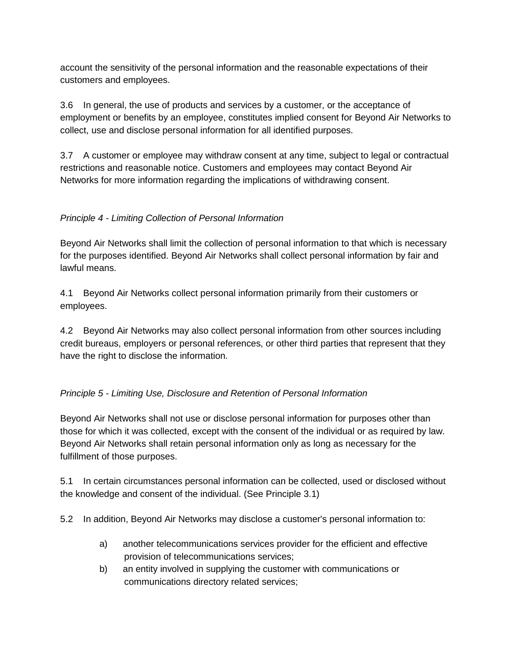account the sensitivity of the personal information and the reasonable expectations of their customers and employees.

3.6 In general, the use of products and services by a customer, or the acceptance of employment or benefits by an employee, constitutes implied consent for Beyond Air Networks to collect, use and disclose personal information for all identified purposes.

3.7 A customer or employee may withdraw consent at any time, subject to legal or contractual restrictions and reasonable notice. Customers and employees may contact Beyond Air Networks for more information regarding the implications of withdrawing consent.

## *Principle 4 - Limiting Collection of Personal Information*

Beyond Air Networks shall limit the collection of personal information to that which is necessary for the purposes identified. Beyond Air Networks shall collect personal information by fair and lawful means.

4.1 Beyond Air Networks collect personal information primarily from their customers or employees.

4.2 Beyond Air Networks may also collect personal information from other sources including credit bureaus, employers or personal references, or other third parties that represent that they have the right to disclose the information.

# *Principle 5 - Limiting Use, Disclosure and Retention of Personal Information*

Beyond Air Networks shall not use or disclose personal information for purposes other than those for which it was collected, except with the consent of the individual or as required by law. Beyond Air Networks shall retain personal information only as long as necessary for the fulfillment of those purposes.

5.1 In certain circumstances personal information can be collected, used or disclosed without the knowledge and consent of the individual. (See Principle 3.1)

5.2 In addition, Beyond Air Networks may disclose a customer's personal information to:

- a) another telecommunications services provider for the efficient and effective provision of telecommunications services;
- b) an entity involved in supplying the customer with communications or communications directory related services;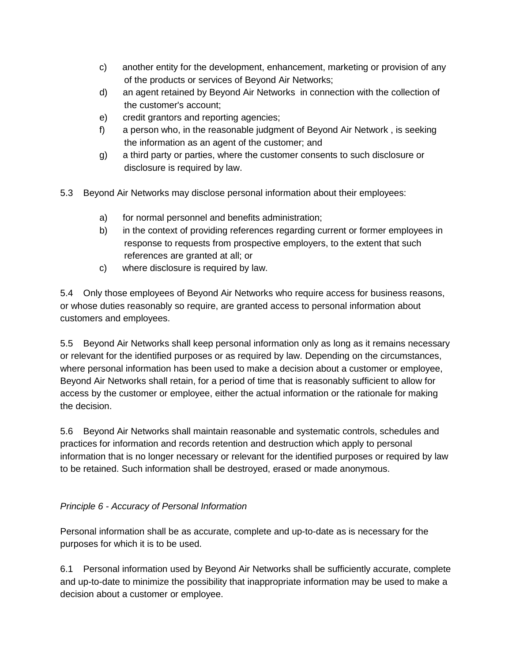- c) another entity for the development, enhancement, marketing or provision of any of the products or services of Beyond Air Networks;
- d) an agent retained by Beyond Air Networks in connection with the collection of the customer's account;
- e) credit grantors and reporting agencies;
- f) a person who, in the reasonable judgment of Beyond Air Network , is seeking the information as an agent of the customer; and
- g) a third party or parties, where the customer consents to such disclosure or disclosure is required by law.
- 5.3 Beyond Air Networks may disclose personal information about their employees:
	- a) for normal personnel and benefits administration;
	- b) in the context of providing references regarding current or former employees in response to requests from prospective employers, to the extent that such references are granted at all; or
	- c) where disclosure is required by law.

5.4 Only those employees of Beyond Air Networks who require access for business reasons, or whose duties reasonably so require, are granted access to personal information about customers and employees.

5.5 Beyond Air Networks shall keep personal information only as long as it remains necessary or relevant for the identified purposes or as required by law. Depending on the circumstances, where personal information has been used to make a decision about a customer or employee, Beyond Air Networks shall retain, for a period of time that is reasonably sufficient to allow for access by the customer or employee, either the actual information or the rationale for making the decision.

5.6 Beyond Air Networks shall maintain reasonable and systematic controls, schedules and practices for information and records retention and destruction which apply to personal information that is no longer necessary or relevant for the identified purposes or required by law to be retained. Such information shall be destroyed, erased or made anonymous.

## *Principle 6 - Accuracy of Personal Information*

Personal information shall be as accurate, complete and up-to-date as is necessary for the purposes for which it is to be used.

6.1 Personal information used by Beyond Air Networks shall be sufficiently accurate, complete and up-to-date to minimize the possibility that inappropriate information may be used to make a decision about a customer or employee.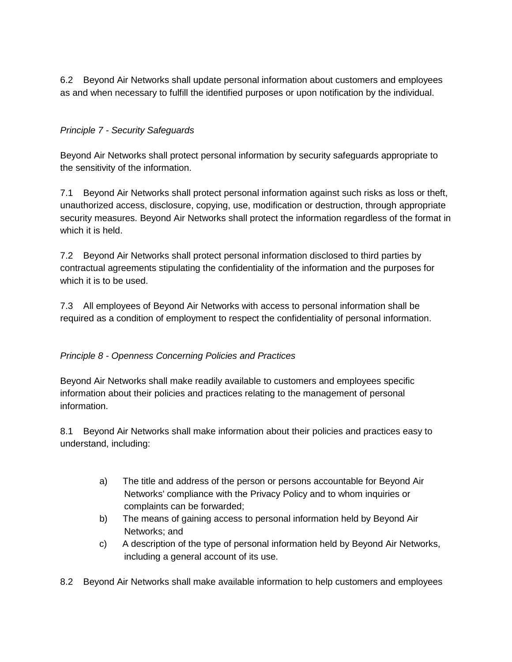6.2 Beyond Air Networks shall update personal information about customers and employees as and when necessary to fulfill the identified purposes or upon notification by the individual.

## *Principle 7 - Security Safeguards*

Beyond Air Networks shall protect personal information by security safeguards appropriate to the sensitivity of the information.

7.1 Beyond Air Networks shall protect personal information against such risks as loss or theft, unauthorized access, disclosure, copying, use, modification or destruction, through appropriate security measures. Beyond Air Networks shall protect the information regardless of the format in which it is held.

7.2 Beyond Air Networks shall protect personal information disclosed to third parties by contractual agreements stipulating the confidentiality of the information and the purposes for which it is to be used.

7.3 All employees of Beyond Air Networks with access to personal information shall be required as a condition of employment to respect the confidentiality of personal information.

## *Principle 8 - Openness Concerning Policies and Practices*

Beyond Air Networks shall make readily available to customers and employees specific information about their policies and practices relating to the management of personal information.

8.1 Beyond Air Networks shall make information about their policies and practices easy to understand, including:

- a) The title and address of the person or persons accountable for Beyond Air Networks' compliance with the Privacy Policy and to whom inquiries or complaints can be forwarded;
- b) The means of gaining access to personal information held by Beyond Air Networks; and
- c) A description of the type of personal information held by Beyond Air Networks, including a general account of its use.
- 8.2 Beyond Air Networks shall make available information to help customers and employees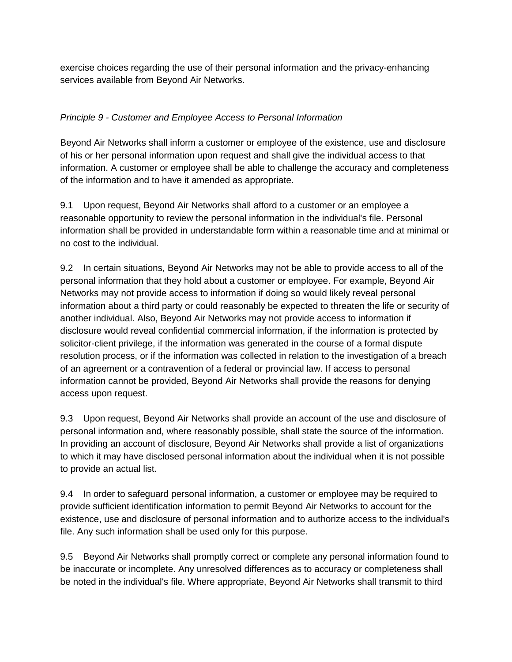exercise choices regarding the use of their personal information and the privacy-enhancing services available from Beyond Air Networks.

### *Principle 9 - Customer and Employee Access to Personal Information*

Beyond Air Networks shall inform a customer or employee of the existence, use and disclosure of his or her personal information upon request and shall give the individual access to that information. A customer or employee shall be able to challenge the accuracy and completeness of the information and to have it amended as appropriate.

9.1 Upon request, Beyond Air Networks shall afford to a customer or an employee a reasonable opportunity to review the personal information in the individual's file. Personal information shall be provided in understandable form within a reasonable time and at minimal or no cost to the individual.

9.2 In certain situations, Beyond Air Networks may not be able to provide access to all of the personal information that they hold about a customer or employee. For example, Beyond Air Networks may not provide access to information if doing so would likely reveal personal information about a third party or could reasonably be expected to threaten the life or security of another individual. Also, Beyond Air Networks may not provide access to information if disclosure would reveal confidential commercial information, if the information is protected by solicitor-client privilege, if the information was generated in the course of a formal dispute resolution process, or if the information was collected in relation to the investigation of a breach of an agreement or a contravention of a federal or provincial law. If access to personal information cannot be provided, Beyond Air Networks shall provide the reasons for denying access upon request.

9.3 Upon request, Beyond Air Networks shall provide an account of the use and disclosure of personal information and, where reasonably possible, shall state the source of the information. In providing an account of disclosure, Beyond Air Networks shall provide a list of organizations to which it may have disclosed personal information about the individual when it is not possible to provide an actual list.

9.4 In order to safeguard personal information, a customer or employee may be required to provide sufficient identification information to permit Beyond Air Networks to account for the existence, use and disclosure of personal information and to authorize access to the individual's file. Any such information shall be used only for this purpose.

9.5 Beyond Air Networks shall promptly correct or complete any personal information found to be inaccurate or incomplete. Any unresolved differences as to accuracy or completeness shall be noted in the individual's file. Where appropriate, Beyond Air Networks shall transmit to third